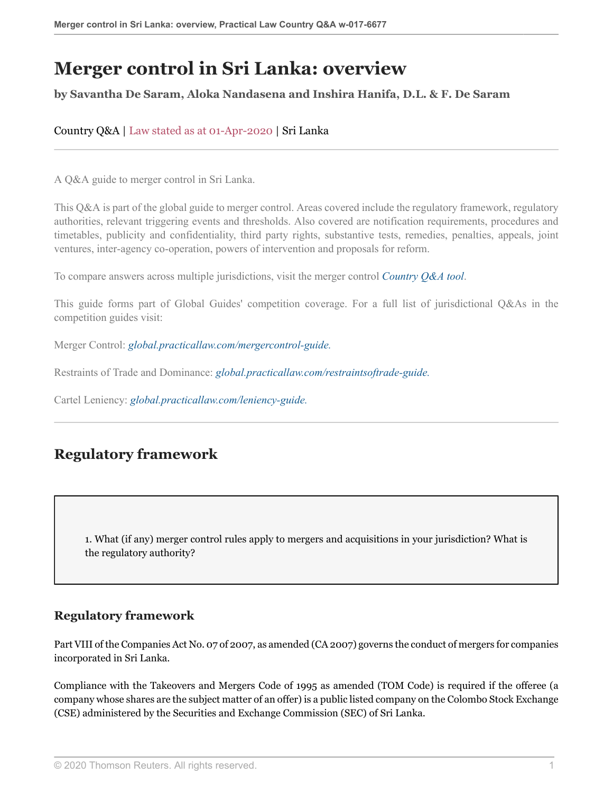# **Merger control in Sri Lanka: overview**

#### **by Savantha De Saram, Aloka Nandasena and Inshira Hanifa, D.L. & F. De Saram**

Country Q&A | Law stated as at 01-Apr-2020 | Sri Lanka

A Q&A guide to merger control in Sri Lanka.

This Q&A is part of the global guide to merger control. Areas covered include the regulatory framework, regulatory authorities, relevant triggering events and thresholds. Also covered are notification requirements, procedures and timetables, publicity and confidentiality, third party rights, substantive tests, remedies, penalties, appeals, joint ventures, inter-agency co-operation, powers of intervention and proposals for reform.

To compare answers across multiple jurisdictions, visit the merger control *[Country Q&A tool](https://uk.practicallaw.thomsonreuters.com/QACompare/Builder/Country )*.

This guide forms part of Global Guides' competition coverage. For a full list of jurisdictional Q&As in the competition guides visit:

Merger Control: *[global.practicallaw.com/mergercontrol-guide.](https://uk.practicallaw.thomsonreuters.com/Browse/Home/International/CompetitionGlobalGuideMergerControl )*

Restraints of Trade and Dominance: *[global.practicallaw.com/restraintsoftrade-guide.](https://uk.practicallaw.thomsonreuters.com/Browse/Home/International/CompetitionGlobalGuideRestraintsofTradeandDominance )*

Cartel Leniency: *[global.practicallaw.com/leniency-guide.](https://uk.practicallaw.thomsonreuters.com/Browse/Home/International/CartelLeniencyGlobalGuide )*

# **Regulatory framework**

1. What (if any) merger control rules apply to mergers and acquisitions in your jurisdiction? What is the regulatory authority?

#### **Regulatory framework**

Part VIII of the Companies Act No. 07 of 2007, as amended (CA 2007) governs the conduct of mergers for companies incorporated in Sri Lanka.

Compliance with the Takeovers and Mergers Code of 1995 as amended (TOM Code) is required if the offeree (a company whose shares are the subject matter of an offer) is a public listed company on the Colombo Stock Exchange (CSE) administered by the Securities and Exchange Commission (SEC) of Sri Lanka.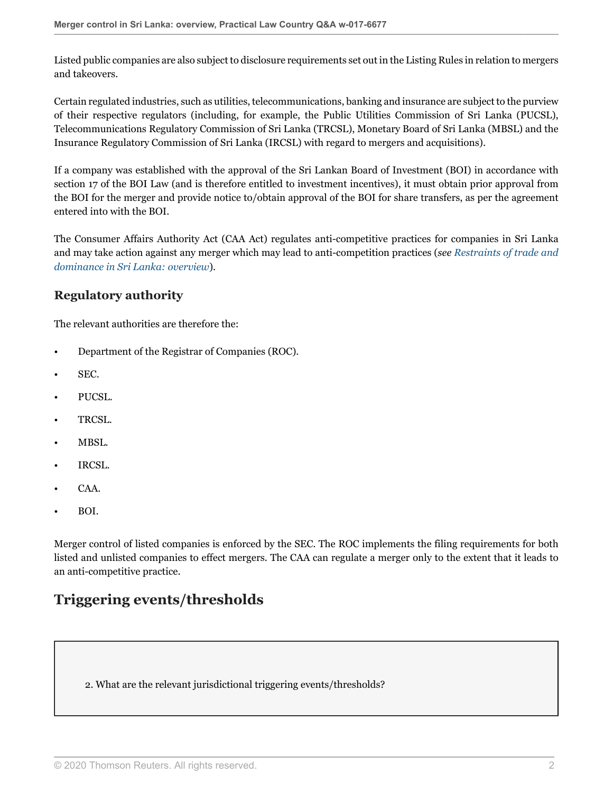Listed public companies are also subject to disclosure requirements set out in the Listing Rules in relation to mergers and takeovers.

Certain regulated industries, such as utilities, telecommunications, banking and insurance are subject to the purview of their respective regulators (including, for example, the Public Utilities Commission of Sri Lanka (PUCSL), Telecommunications Regulatory Commission of Sri Lanka (TRCSL), Monetary Board of Sri Lanka (MBSL) and the Insurance Regulatory Commission of Sri Lanka (IRCSL) with regard to mergers and acquisitions).

If a company was established with the approval of the Sri Lankan Board of Investment (BOI) in accordance with section 17 of the BOI Law (and is therefore entitled to investment incentives), it must obtain prior approval from the BOI for the merger and provide notice to/obtain approval of the BOI for share transfers, as per the agreement entered into with the BOI.

The Consumer Affairs Authority Act (CAA Act) regulates anti-competitive practices for companies in Sri Lanka and may take action against any merger which may lead to anti-competition practices (*see [Restraints of trade and](http://uk.practicallaw.thomsonreuters.com/w-024-3758?originationContext=document&vr=3.0&rs=PLUK1.0&transitionType=DocumentItem&contextData=(sc.Default)) [dominance in Sri Lanka: overview](http://uk.practicallaw.thomsonreuters.com/w-024-3758?originationContext=document&vr=3.0&rs=PLUK1.0&transitionType=DocumentItem&contextData=(sc.Default))*).

## **Regulatory authority**

The relevant authorities are therefore the:

- Department of the Registrar of Companies (ROC).
- SEC.
- PUCSL.
- TRCSL.
- MBSL.
- IRCSL.
- CAA.
- BOI.

Merger control of listed companies is enforced by the SEC. The ROC implements the filing requirements for both listed and unlisted companies to effect mergers. The CAA can regulate a merger only to the extent that it leads to an anti-competitive practice.

# **Triggering events/thresholds**

2. What are the relevant jurisdictional triggering events/thresholds?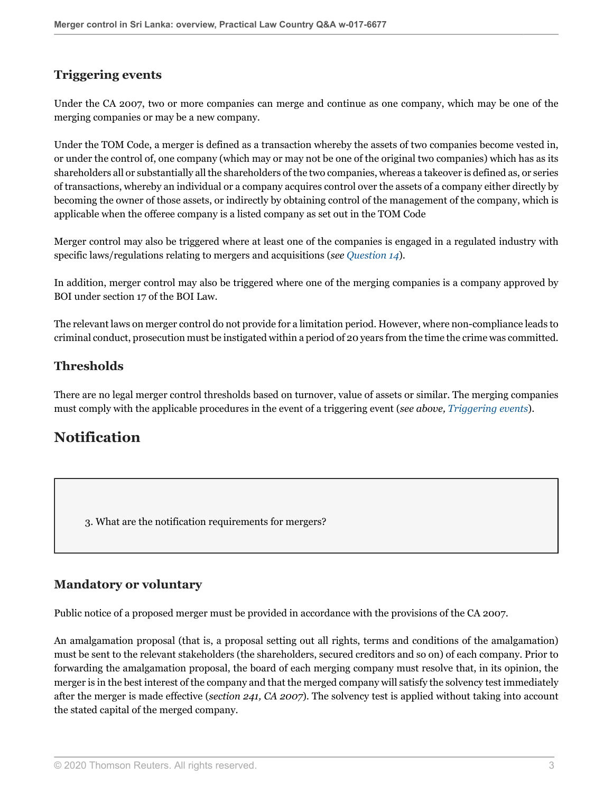## <span id="page-2-0"></span>**Triggering events**

Under the CA 2007, two or more companies can merge and continue as one company, which may be one of the merging companies or may be a new company.

Under the TOM Code, a merger is defined as a transaction whereby the assets of two companies become vested in, or under the control of, one company (which may or may not be one of the original two companies) which has as its shareholders all or substantially all the shareholders of the two companies, whereas a takeover is defined as, or series of transactions, whereby an individual or a company acquires control over the assets of a company either directly by becoming the owner of those assets, or indirectly by obtaining control of the management of the company, which is applicable when the offeree company is a listed company as set out in the TOM Code

Merger control may also be triggered where at least one of the companies is engaged in a regulated industry with specific laws/regulations relating to mergers and acquisitions (*see [Question 14](#page-11-0)*).

In addition, merger control may also be triggered where one of the merging companies is a company approved by BOI under section 17 of the BOI Law.

The relevant laws on merger control do not provide for a limitation period. However, where non-compliance leads to criminal conduct, prosecution must be instigated within a period of 20 years from the time the crime was committed.

### **Thresholds**

There are no legal merger control thresholds based on turnover, value of assets or similar. The merging companies must comply with the applicable procedures in the event of a triggering event (*see above, [Triggering events](#page-2-0)*).

# **Notification**

<span id="page-2-2"></span>3. What are the notification requirements for mergers?

#### <span id="page-2-1"></span>**Mandatory or voluntary**

Public notice of a proposed merger must be provided in accordance with the provisions of the CA 2007.

An amalgamation proposal (that is, a proposal setting out all rights, terms and conditions of the amalgamation) must be sent to the relevant stakeholders (the shareholders, secured creditors and so on) of each company. Prior to forwarding the amalgamation proposal, the board of each merging company must resolve that, in its opinion, the merger is in the best interest of the company and that the merged company will satisfy the solvency test immediately after the merger is made effective (*section 241, CA 2007*). The solvency test is applied without taking into account the stated capital of the merged company.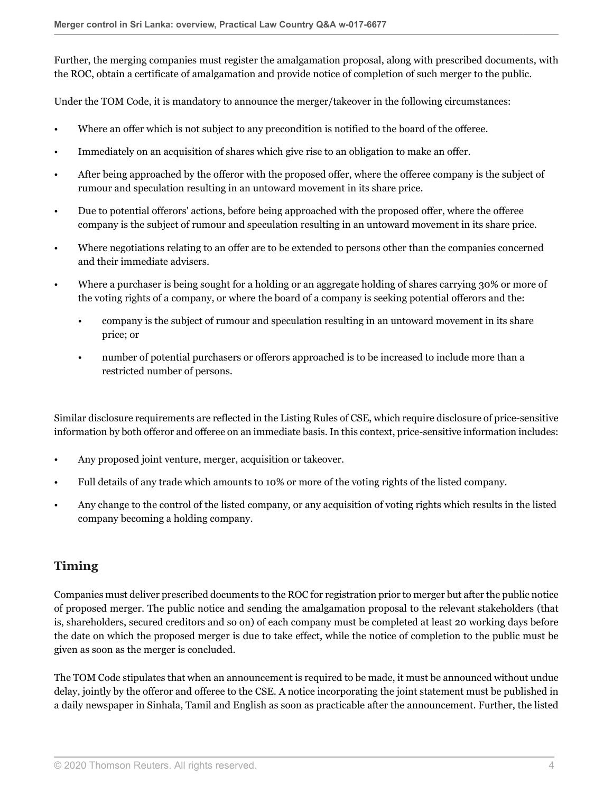Further, the merging companies must register the amalgamation proposal, along with prescribed documents, with the ROC, obtain a certificate of amalgamation and provide notice of completion of such merger to the public.

Under the TOM Code, it is mandatory to announce the merger/takeover in the following circumstances:

- Where an offer which is not subject to any precondition is notified to the board of the offeree.
- Immediately on an acquisition of shares which give rise to an obligation to make an offer.
- After being approached by the offeror with the proposed offer, where the offeree company is the subject of rumour and speculation resulting in an untoward movement in its share price.
- Due to potential offerors' actions, before being approached with the proposed offer, where the offeree company is the subject of rumour and speculation resulting in an untoward movement in its share price.
- Where negotiations relating to an offer are to be extended to persons other than the companies concerned and their immediate advisers.
- Where a purchaser is being sought for a holding or an aggregate holding of shares carrying 30% or more of the voting rights of a company, or where the board of a company is seeking potential offerors and the:
	- company is the subject of rumour and speculation resulting in an untoward movement in its share price; or
	- number of potential purchasers or offerors approached is to be increased to include more than a restricted number of persons.

Similar disclosure requirements are reflected in the Listing Rules of CSE, which require disclosure of price-sensitive information by both offeror and offeree on an immediate basis. In this context, price-sensitive information includes:

- Any proposed joint venture, merger, acquisition or takeover.
- Full details of any trade which amounts to 10% or more of the voting rights of the listed company.
- Any change to the control of the listed company, or any acquisition of voting rights which results in the listed company becoming a holding company.

### <span id="page-3-0"></span>**Timing**

Companies must deliver prescribed documents to the ROC for registration prior to merger but after the public notice of proposed merger. The public notice and sending the amalgamation proposal to the relevant stakeholders (that is, shareholders, secured creditors and so on) of each company must be completed at least 20 working days before the date on which the proposed merger is due to take effect, while the notice of completion to the public must be given as soon as the merger is concluded.

The TOM Code stipulates that when an announcement is required to be made, it must be announced without undue delay, jointly by the offeror and offeree to the CSE. A notice incorporating the joint statement must be published in a daily newspaper in Sinhala, Tamil and English as soon as practicable after the announcement. Further, the listed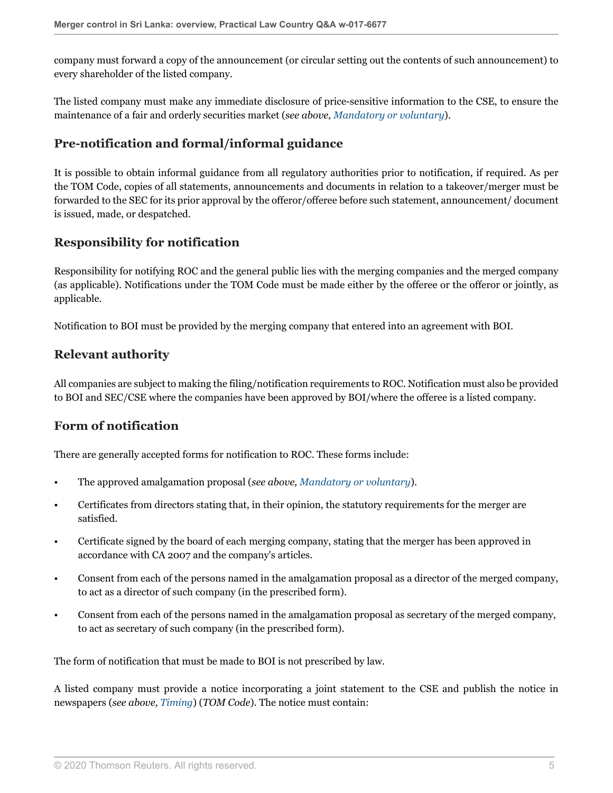company must forward a copy of the announcement (or circular setting out the contents of such announcement) to every shareholder of the listed company.

The listed company must make any immediate disclosure of price-sensitive information to the CSE, to ensure the maintenance of a fair and orderly securities market (*see above, [Mandatory or voluntary](#page-2-1)*).

### **Pre-notification and formal/informal guidance**

It is possible to obtain informal guidance from all regulatory authorities prior to notification, if required. As per the TOM Code, copies of all statements, announcements and documents in relation to a takeover/merger must be forwarded to the SEC for its prior approval by the offeror/offeree before such statement, announcement/ document is issued, made, or despatched.

## **Responsibility for notification**

Responsibility for notifying ROC and the general public lies with the merging companies and the merged company (as applicable). Notifications under the TOM Code must be made either by the offeree or the offeror or jointly, as applicable.

Notification to BOI must be provided by the merging company that entered into an agreement with BOI.

### **Relevant authority**

All companies are subject to making the filing/notification requirements to ROC. Notification must also be provided to BOI and SEC/CSE where the companies have been approved by BOI/where the offeree is a listed company.

### <span id="page-4-0"></span>**Form of notification**

There are generally accepted forms for notification to ROC. These forms include:

- The approved amalgamation proposal (*see above, [Mandatory or voluntary](#page-2-1)*).
- Certificates from directors stating that, in their opinion, the statutory requirements for the merger are satisfied.
- Certificate signed by the board of each merging company, stating that the merger has been approved in accordance with CA 2007 and the company's articles.
- Consent from each of the persons named in the amalgamation proposal as a director of the merged company, to act as a director of such company (in the prescribed form).
- Consent from each of the persons named in the amalgamation proposal as secretary of the merged company, to act as secretary of such company (in the prescribed form).

The form of notification that must be made to BOI is not prescribed by law.

A listed company must provide a notice incorporating a joint statement to the CSE and publish the notice in newspapers (*see above, [Timing](#page-3-0)*) (*TOM Code*). The notice must contain: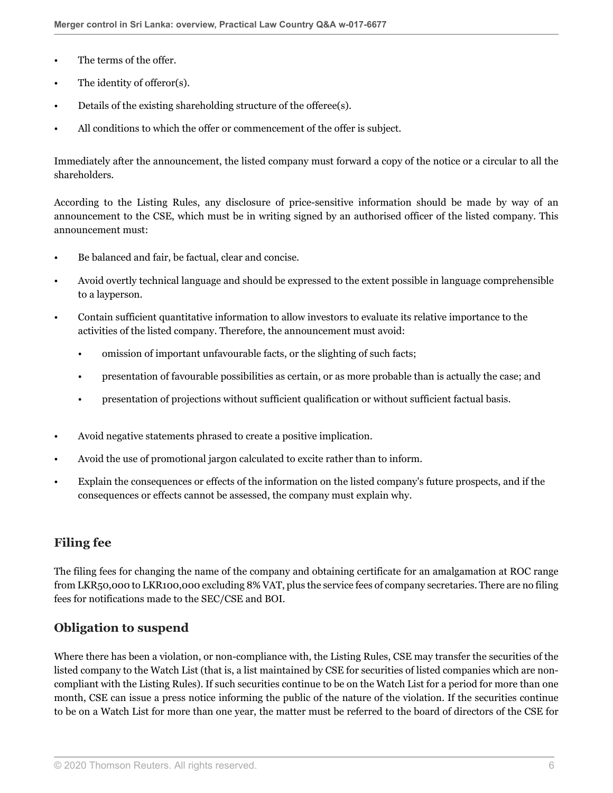- The terms of the offer.
- The identity of offeror(s).
- Details of the existing shareholding structure of the offeree(s).
- All conditions to which the offer or commencement of the offer is subject.

Immediately after the announcement, the listed company must forward a copy of the notice or a circular to all the shareholders.

According to the Listing Rules, any disclosure of price-sensitive information should be made by way of an announcement to the CSE, which must be in writing signed by an authorised officer of the listed company. This announcement must:

- Be balanced and fair, be factual, clear and concise.
- Avoid overtly technical language and should be expressed to the extent possible in language comprehensible to a layperson.
- Contain sufficient quantitative information to allow investors to evaluate its relative importance to the activities of the listed company. Therefore, the announcement must avoid:
	- omission of important unfavourable facts, or the slighting of such facts;
	- presentation of favourable possibilities as certain, or as more probable than is actually the case; and
	- presentation of projections without sufficient qualification or without sufficient factual basis.
- Avoid negative statements phrased to create a positive implication.
- Avoid the use of promotional jargon calculated to excite rather than to inform.
- Explain the consequences or effects of the information on the listed company's future prospects, and if the consequences or effects cannot be assessed, the company must explain why.

### **Filing fee**

The filing fees for changing the name of the company and obtaining certificate for an amalgamation at ROC range from LKR50,000 to LKR100,000 excluding 8% VAT, plus the service fees of company secretaries. There are no filing fees for notifications made to the SEC/CSE and BOI.

### <span id="page-5-0"></span>**Obligation to suspend**

Where there has been a violation, or non-compliance with, the Listing Rules, CSE may transfer the securities of the listed company to the Watch List (that is, a list maintained by CSE for securities of listed companies which are noncompliant with the Listing Rules). If such securities continue to be on the Watch List for a period for more than one month, CSE can issue a press notice informing the public of the nature of the violation. If the securities continue to be on a Watch List for more than one year, the matter must be referred to the board of directors of the CSE for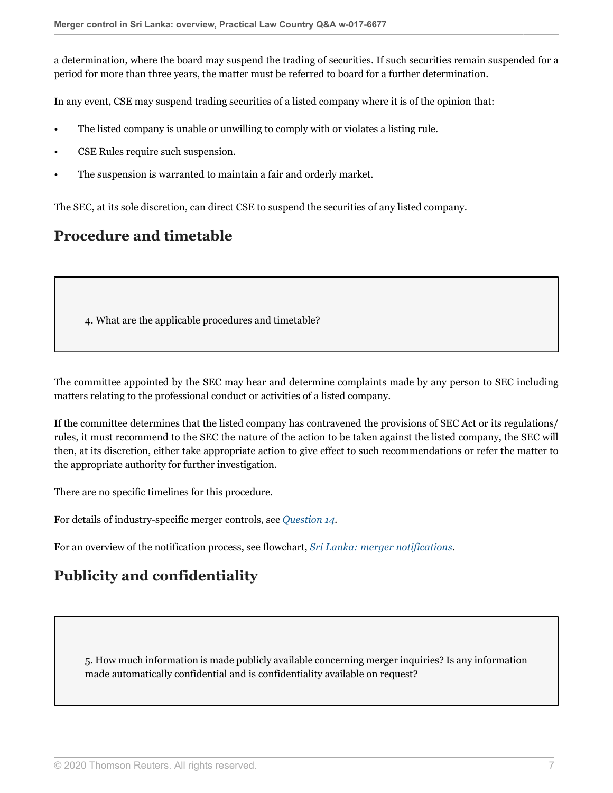a determination, where the board may suspend the trading of securities. If such securities remain suspended for a period for more than three years, the matter must be referred to board for a further determination.

In any event, CSE may suspend trading securities of a listed company where it is of the opinion that:

- The listed company is unable or unwilling to comply with or violates a listing rule.
- CSE Rules require such suspension.
- The suspension is warranted to maintain a fair and orderly market.

The SEC, at its sole discretion, can direct CSE to suspend the securities of any listed company.

## **Procedure and timetable**

4. What are the applicable procedures and timetable?

The committee appointed by the SEC may hear and determine complaints made by any person to SEC including matters relating to the professional conduct or activities of a listed company.

If the committee determines that the listed company has contravened the provisions of SEC Act or its regulations/ rules, it must recommend to the SEC the nature of the action to be taken against the listed company, the SEC will then, at its discretion, either take appropriate action to give effect to such recommendations or refer the matter to the appropriate authority for further investigation.

There are no specific timelines for this procedure.

For details of industry-specific merger controls, see *[Question 14](#page-11-0).*

For an overview of the notification process, see flowchart, *[Sri Lanka: merger notifications.](http://uk.practicallaw.thomsonreuters.com/w-025-4931?originationContext=document&vr=3.0&rs=PLUK1.0&transitionType=DocumentItem&contextData=(sc.Default))*

# **Publicity and confidentiality**

5. How much information is made publicly available concerning merger inquiries? Is any information made automatically confidential and is confidentiality available on request?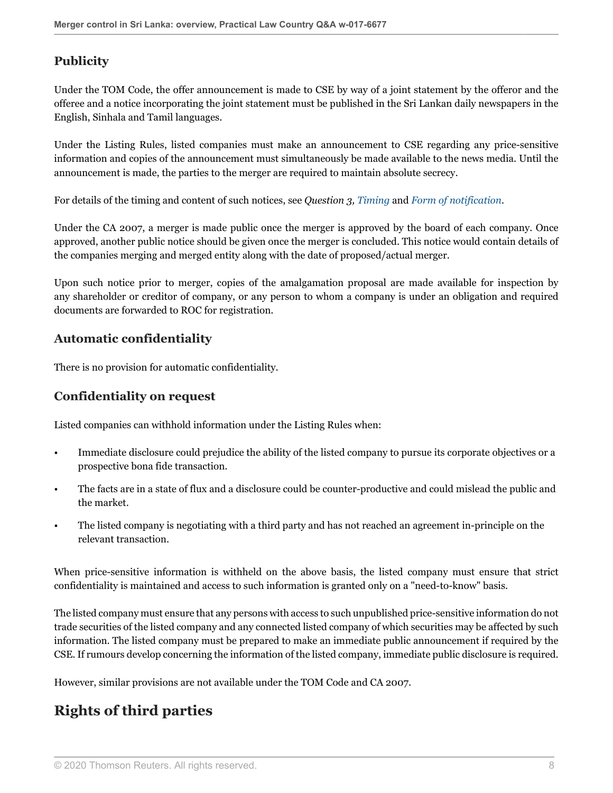## **Publicity**

Under the TOM Code, the offer announcement is made to CSE by way of a joint statement by the offeror and the offeree and a notice incorporating the joint statement must be published in the Sri Lankan daily newspapers in the English, Sinhala and Tamil languages.

Under the Listing Rules, listed companies must make an announcement to CSE regarding any price-sensitive information and copies of the announcement must simultaneously be made available to the news media. Until the announcement is made, the parties to the merger are required to maintain absolute secrecy.

For details of the timing and content of such notices, see *Question 3, [Timing](#page-3-0)* and *[Form of notification](#page-4-0).*

Under the CA 2007, a merger is made public once the merger is approved by the board of each company. Once approved, another public notice should be given once the merger is concluded. This notice would contain details of the companies merging and merged entity along with the date of proposed/actual merger.

Upon such notice prior to merger, copies of the amalgamation proposal are made available for inspection by any shareholder or creditor of company, or any person to whom a company is under an obligation and required documents are forwarded to ROC for registration.

## **Automatic confidentiality**

There is no provision for automatic confidentiality.

### **Confidentiality on request**

Listed companies can withhold information under the Listing Rules when:

- Immediate disclosure could prejudice the ability of the listed company to pursue its corporate objectives or a prospective bona fide transaction.
- The facts are in a state of flux and a disclosure could be counter-productive and could mislead the public and the market.
- The listed company is negotiating with a third party and has not reached an agreement in-principle on the relevant transaction.

When price-sensitive information is withheld on the above basis, the listed company must ensure that strict confidentiality is maintained and access to such information is granted only on a "need-to-know" basis.

The listed company must ensure that any persons with access to such unpublished price-sensitive information do not trade securities of the listed company and any connected listed company of which securities may be affected by such information. The listed company must be prepared to make an immediate public announcement if required by the CSE. If rumours develop concerning the information of the listed company, immediate public disclosure is required.

However, similar provisions are not available under the TOM Code and CA 2007.

# **Rights of third parties**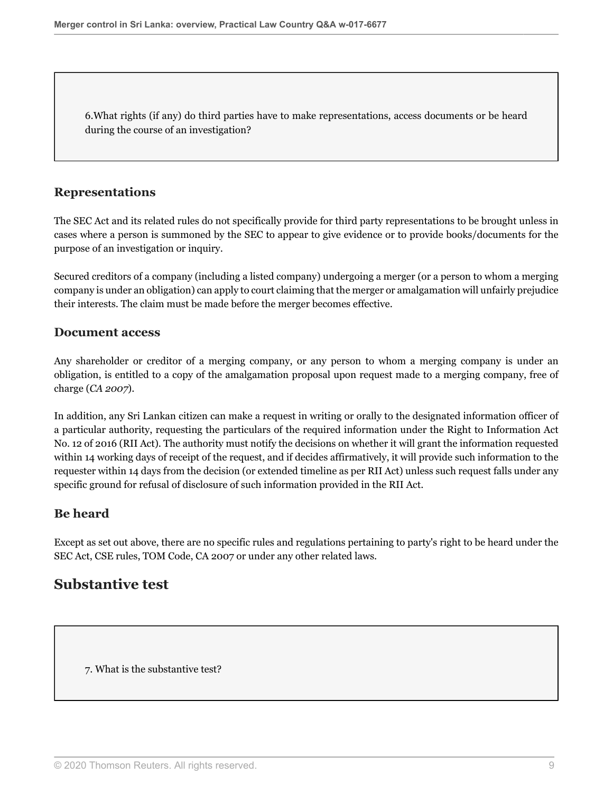6.What rights (if any) do third parties have to make representations, access documents or be heard during the course of an investigation?

#### **Representations**

The SEC Act and its related rules do not specifically provide for third party representations to be brought unless in cases where a person is summoned by the SEC to appear to give evidence or to provide books/documents for the purpose of an investigation or inquiry.

Secured creditors of a company (including a listed company) undergoing a merger (or a person to whom a merging company is under an obligation) can apply to court claiming that the merger or amalgamation will unfairly prejudice their interests. The claim must be made before the merger becomes effective.

#### **Document access**

Any shareholder or creditor of a merging company, or any person to whom a merging company is under an obligation, is entitled to a copy of the amalgamation proposal upon request made to a merging company, free of charge (*CA 2007*).

In addition, any Sri Lankan citizen can make a request in writing or orally to the designated information officer of a particular authority, requesting the particulars of the required information under the Right to Information Act No. 12 of 2016 (RII Act). The authority must notify the decisions on whether it will grant the information requested within 14 working days of receipt of the request, and if decides affirmatively, it will provide such information to the requester within 14 days from the decision (or extended timeline as per RII Act) unless such request falls under any specific ground for refusal of disclosure of such information provided in the RII Act.

### **Be heard**

Except as set out above, there are no specific rules and regulations pertaining to party's right to be heard under the SEC Act, CSE rules, TOM Code, CA 2007 or under any other related laws.

## **Substantive test**

7. What is the substantive test?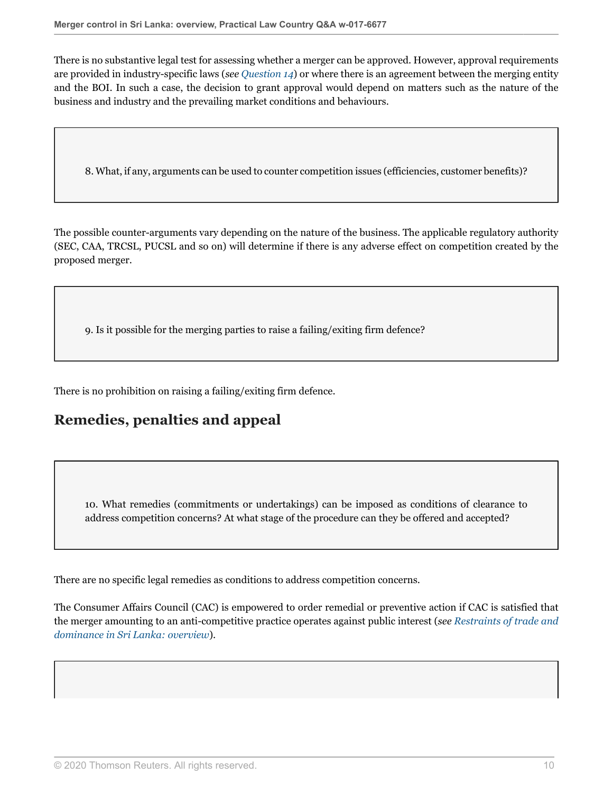There is no substantive legal test for assessing whether a merger can be approved. However, approval requirements are provided in industry-specific laws (*see [Question 14](#page-11-0)*) or where there is an agreement between the merging entity and the BOI. In such a case, the decision to grant approval would depend on matters such as the nature of the business and industry and the prevailing market conditions and behaviours.

8. What, if any, arguments can be used to counter competition issues (efficiencies, customer benefits)?

The possible counter-arguments vary depending on the nature of the business. The applicable regulatory authority (SEC, CAA, TRCSL, PUCSL and so on) will determine if there is any adverse effect on competition created by the proposed merger.

9. Is it possible for the merging parties to raise a failing/exiting firm defence?

There is no prohibition on raising a failing/exiting firm defence.

# **Remedies, penalties and appeal**

10. What remedies (commitments or undertakings) can be imposed as conditions of clearance to address competition concerns? At what stage of the procedure can they be offered and accepted?

There are no specific legal remedies as conditions to address competition concerns.

The Consumer Affairs Council (CAC) is empowered to order remedial or preventive action if CAC is satisfied that the merger amounting to an anti-competitive practice operates against public interest (*see [Restraints of trade and](http://uk.practicallaw.thomsonreuters.com/w-024-3758?originationContext=document&vr=3.0&rs=PLUK1.0&transitionType=DocumentItem&contextData=(sc.Default)) [dominance in Sri Lanka: overview](http://uk.practicallaw.thomsonreuters.com/w-024-3758?originationContext=document&vr=3.0&rs=PLUK1.0&transitionType=DocumentItem&contextData=(sc.Default))*).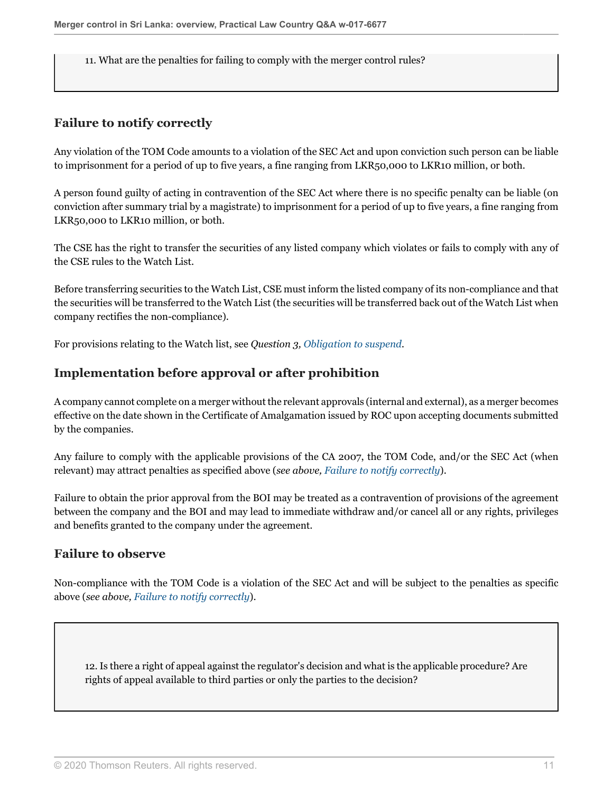11. What are the penalties for failing to comply with the merger control rules?

#### <span id="page-10-0"></span>**Failure to notify correctly**

Any violation of the TOM Code amounts to a violation of the SEC Act and upon conviction such person can be liable to imprisonment for a period of up to five years, a fine ranging from LKR50,000 to LKR10 million, or both.

A person found guilty of acting in contravention of the SEC Act where there is no specific penalty can be liable (on conviction after summary trial by a magistrate) to imprisonment for a period of up to five years, a fine ranging from LKR50,000 to LKR10 million, or both.

The CSE has the right to transfer the securities of any listed company which violates or fails to comply with any of the CSE rules to the Watch List.

Before transferring securities to the Watch List, CSE must inform the listed company of its non-compliance and that the securities will be transferred to the Watch List (the securities will be transferred back out of the Watch List when company rectifies the non-compliance).

For provisions relating to the Watch list, see *Question 3, [Obligation to suspend](#page-5-0).*

#### **Implementation before approval or after prohibition**

A company cannot complete on a merger without the relevant approvals (internal and external), as a merger becomes effective on the date shown in the Certificate of Amalgamation issued by ROC upon accepting documents submitted by the companies.

Any failure to comply with the applicable provisions of the CA 2007, the TOM Code, and/or the SEC Act (when relevant) may attract penalties as specified above (*see above, [Failure to notify correctly](#page-10-0)*).

Failure to obtain the prior approval from the BOI may be treated as a contravention of provisions of the agreement between the company and the BOI and may lead to immediate withdraw and/or cancel all or any rights, privileges and benefits granted to the company under the agreement.

#### **Failure to observe**

Non-compliance with the TOM Code is a violation of the SEC Act and will be subject to the penalties as specific above (*see above, [Failure to notify correctly](#page-10-0)*).

<span id="page-10-1"></span>12. Is there a right of appeal against the regulator's decision and what is the applicable procedure? Are rights of appeal available to third parties or only the parties to the decision?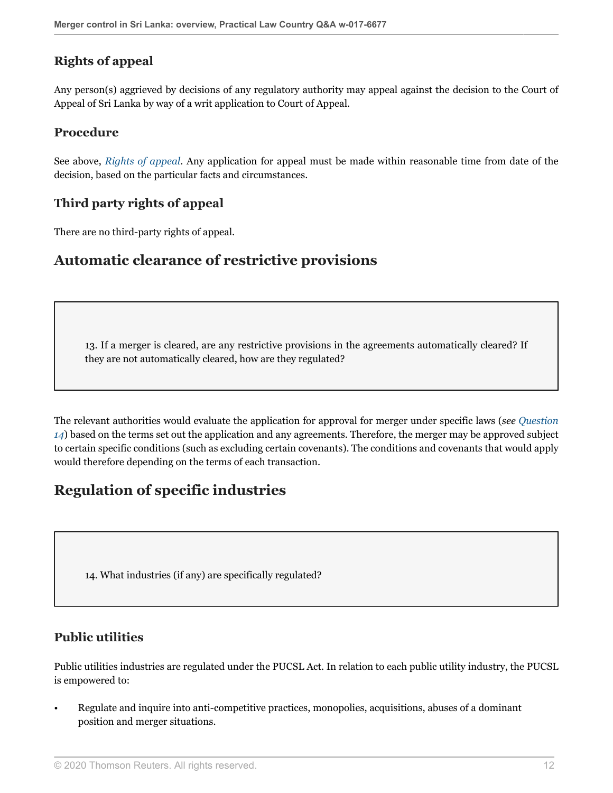## **Rights of appeal**

Any person(s) aggrieved by decisions of any regulatory authority may appeal against the decision to the Court of Appeal of Sri Lanka by way of a writ application to Court of Appeal.

#### **Procedure**

See above, *[Rights of appeal](#page-10-1)*. Any application for appeal must be made within reasonable time from date of the decision, based on the particular facts and circumstances.

### **Third party rights of appeal**

There are no third-party rights of appeal.

## **Automatic clearance of restrictive provisions**

13. If a merger is cleared, are any restrictive provisions in the agreements automatically cleared? If they are not automatically cleared, how are they regulated?

The relevant authorities would evaluate the application for approval for merger under specific laws (*see [Question](#page-11-0) [14](#page-11-0)*) based on the terms set out the application and any agreements. Therefore, the merger may be approved subject to certain specific conditions (such as excluding certain covenants). The conditions and covenants that would apply would therefore depending on the terms of each transaction.

# **Regulation of specific industries**

<span id="page-11-0"></span>14. What industries (if any) are specifically regulated?

## **Public utilities**

Public utilities industries are regulated under the PUCSL Act. In relation to each public utility industry, the PUCSL is empowered to:

• Regulate and inquire into anti-competitive practices, monopolies, acquisitions, abuses of a dominant position and merger situations.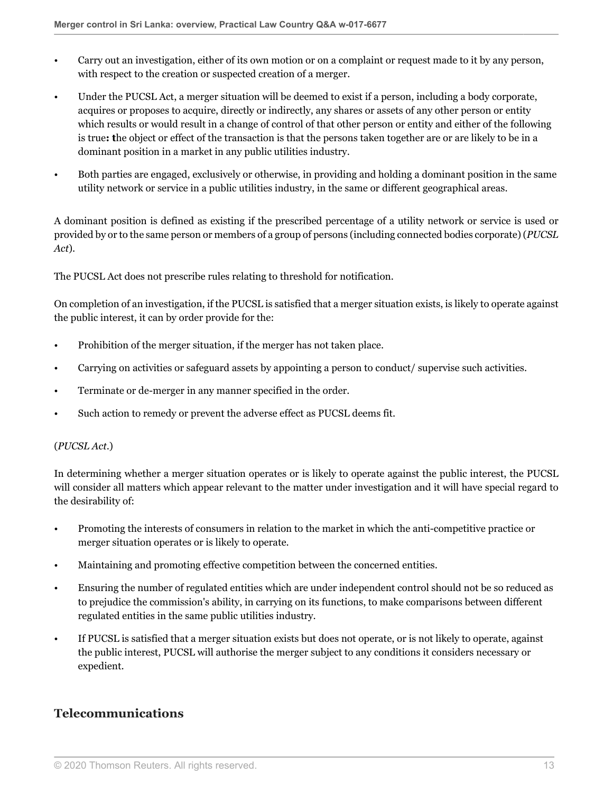- Carry out an investigation, either of its own motion or on a complaint or request made to it by any person, with respect to the creation or suspected creation of a merger.
- Under the PUCSL Act, a merger situation will be deemed to exist if a person, including a body corporate, acquires or proposes to acquire, directly or indirectly, any shares or assets of any other person or entity which results or would result in a change of control of that other person or entity and either of the following is true**: t**he object or effect of the transaction is that the persons taken together are or are likely to be in a dominant position in a market in any public utilities industry.
- Both parties are engaged, exclusively or otherwise, in providing and holding a dominant position in the same utility network or service in a public utilities industry, in the same or different geographical areas.

A dominant position is defined as existing if the prescribed percentage of a utility network or service is used or provided by or to the same person or members of a group of persons (including connected bodies corporate) (*PUCSL Act*).

The PUCSL Act does not prescribe rules relating to threshold for notification.

On completion of an investigation, if the PUCSL is satisfied that a merger situation exists, is likely to operate against the public interest, it can by order provide for the:

- Prohibition of the merger situation, if the merger has not taken place.
- Carrying on activities or safeguard assets by appointing a person to conduct/ supervise such activities.
- Terminate or de-merger in any manner specified in the order.
- Such action to remedy or prevent the adverse effect as PUCSL deems fit.

#### (*PUCSL Act*.)

In determining whether a merger situation operates or is likely to operate against the public interest, the PUCSL will consider all matters which appear relevant to the matter under investigation and it will have special regard to the desirability of:

- Promoting the interests of consumers in relation to the market in which the anti-competitive practice or merger situation operates or is likely to operate.
- Maintaining and promoting effective competition between the concerned entities.
- Ensuring the number of regulated entities which are under independent control should not be so reduced as to prejudice the commission's ability, in carrying on its functions, to make comparisons between different regulated entities in the same public utilities industry.
- If PUCSL is satisfied that a merger situation exists but does not operate, or is not likely to operate, against the public interest, PUCSL will authorise the merger subject to any conditions it considers necessary or expedient.

#### **Telecommunications**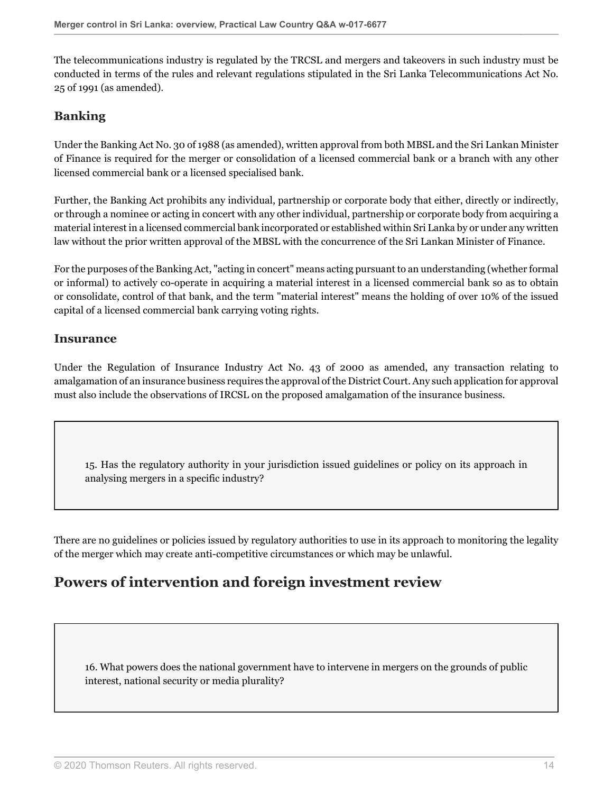The telecommunications industry is regulated by the TRCSL and mergers and takeovers in such industry must be conducted in terms of the rules and relevant regulations stipulated in the Sri Lanka Telecommunications Act No. 25 of 1991 (as amended).

### **Banking**

Under the Banking Act No. 30 of 1988 (as amended), written approval from both MBSL and the Sri Lankan Minister of Finance is required for the merger or consolidation of a licensed commercial bank or a branch with any other licensed commercial bank or a licensed specialised bank.

Further, the Banking Act prohibits any individual, partnership or corporate body that either, directly or indirectly, or through a nominee or acting in concert with any other individual, partnership or corporate body from acquiring a material interest in a licensed commercial bank incorporated or established within Sri Lanka by or under any written law without the prior written approval of the MBSL with the concurrence of the Sri Lankan Minister of Finance.

For the purposes of the Banking Act, "acting in concert" means acting pursuant to an understanding (whether formal or informal) to actively co-operate in acquiring a material interest in a licensed commercial bank so as to obtain or consolidate, control of that bank, and the term "material interest" means the holding of over 10% of the issued capital of a licensed commercial bank carrying voting rights.

#### **Insurance**

Under the Regulation of Insurance Industry Act No. 43 of 2000 as amended, any transaction relating to amalgamation of an insurance business requires the approval of the District Court. Any such application for approval must also include the observations of IRCSL on the proposed amalgamation of the insurance business.

15. Has the regulatory authority in your jurisdiction issued guidelines or policy on its approach in analysing mergers in a specific industry?

There are no guidelines or policies issued by regulatory authorities to use in its approach to monitoring the legality of the merger which may create anti-competitive circumstances or which may be unlawful.

# **Powers of intervention and foreign investment review**

16. What powers does the national government have to intervene in mergers on the grounds of public interest, national security or media plurality?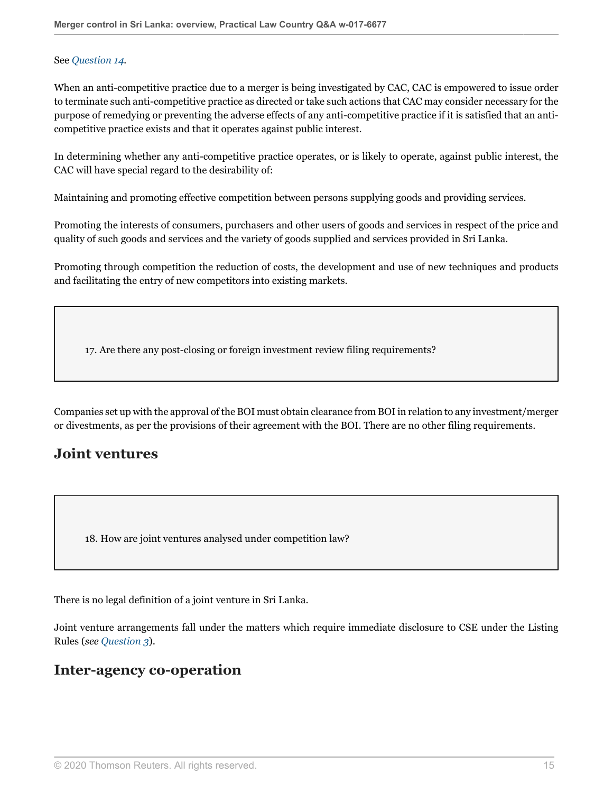#### See *[Question 14.](#page-11-0)*

When an anti-competitive practice due to a merger is being investigated by CAC, CAC is empowered to issue order to terminate such anti-competitive practice as directed or take such actions that CAC may consider necessary for the purpose of remedying or preventing the adverse effects of any anti-competitive practice if it is satisfied that an anticompetitive practice exists and that it operates against public interest.

In determining whether any anti-competitive practice operates, or is likely to operate, against public interest, the CAC will have special regard to the desirability of:

Maintaining and promoting effective competition between persons supplying goods and providing services.

Promoting the interests of consumers, purchasers and other users of goods and services in respect of the price and quality of such goods and services and the variety of goods supplied and services provided in Sri Lanka.

Promoting through competition the reduction of costs, the development and use of new techniques and products and facilitating the entry of new competitors into existing markets.

17. Are there any post-closing or foreign investment review filing requirements?

Companies set up with the approval of the BOI must obtain clearance from BOI in relation to any investment/merger or divestments, as per the provisions of their agreement with the BOI. There are no other filing requirements.

## **Joint ventures**

18. How are joint ventures analysed under competition law?

There is no legal definition of a joint venture in Sri Lanka.

Joint venture arrangements fall under the matters which require immediate disclosure to CSE under the Listing Rules (*see [Question 3](#page-2-2)*).

## **Inter-agency co-operation**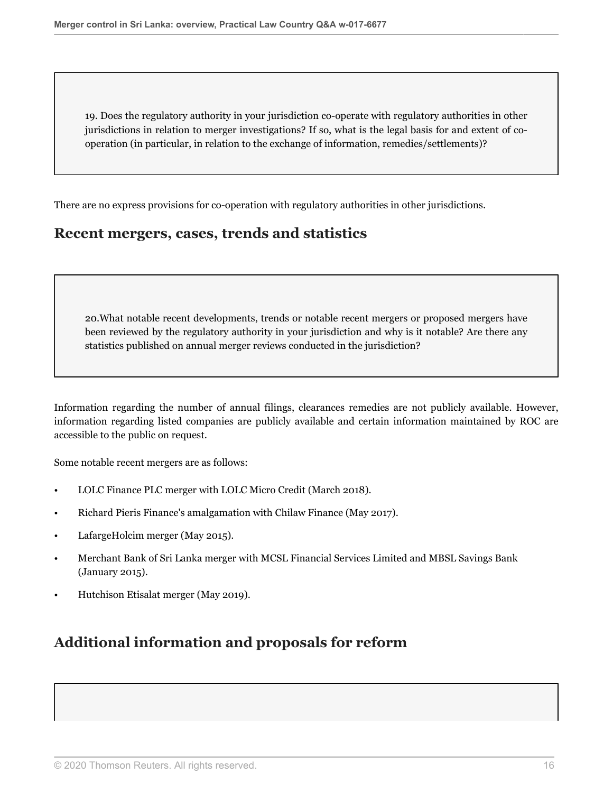19. Does the regulatory authority in your jurisdiction co-operate with regulatory authorities in other jurisdictions in relation to merger investigations? If so, what is the legal basis for and extent of cooperation (in particular, in relation to the exchange of information, remedies/settlements)?

There are no express provisions for co-operation with regulatory authorities in other jurisdictions.

## **Recent mergers, cases, trends and statistics**

20.What notable recent developments, trends or notable recent mergers or proposed mergers have been reviewed by the regulatory authority in your jurisdiction and why is it notable? Are there any statistics published on annual merger reviews conducted in the jurisdiction?

Information regarding the number of annual filings, clearances remedies are not publicly available. However, information regarding listed companies are publicly available and certain information maintained by ROC are accessible to the public on request.

Some notable recent mergers are as follows:

- LOLC Finance PLC merger with LOLC Micro Credit (March 2018).
- Richard Pieris Finance's amalgamation with Chilaw Finance (May 2017).
- LafargeHolcim merger (May 2015).
- Merchant Bank of Sri Lanka merger with MCSL Financial Services Limited and MBSL Savings Bank (January 2015).
- Hutchison Etisalat merger (May 2019).

# **Additional information and proposals for reform**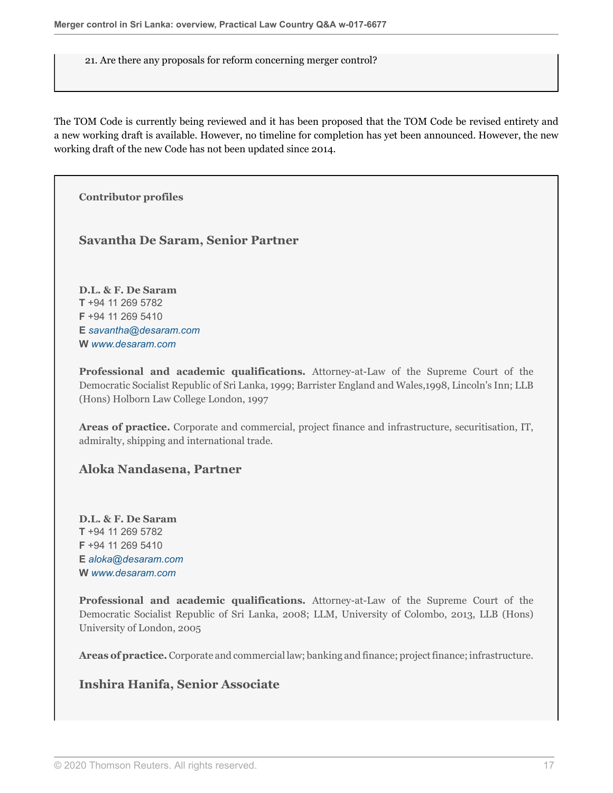21. Are there any proposals for reform concerning merger control?

The TOM Code is currently being reviewed and it has been proposed that the TOM Code be revised entirety and a new working draft is available. However, no timeline for completion has yet been announced. However, the new working draft of the new Code has not been updated since 2014.

**Contributor profiles**

#### **Savantha De Saram, Senior Partner**

**D.L. & F. De Saram T** +94 11 269 5782 **F** +94 11 269 5410 **E** *[savantha@desaram.com](mailto:savantha@desaram.com)* **W** *[www.desaram.com](http://www.desaram.com)*

**Professional and academic qualifications.** Attorney-at-Law of the Supreme Court of the Democratic Socialist Republic of Sri Lanka, 1999; Barrister England and Wales,1998, Lincoln's Inn; LLB (Hons) Holborn Law College London, 1997

**Areas of practice.** Corporate and commercial, project finance and infrastructure, securitisation, IT, admiralty, shipping and international trade.

#### **Aloka Nandasena, Partner**

**D.L. & F. De Saram T** +94 11 269 5782 **F** +94 11 269 5410 **E** *[aloka@desaram.com](mailto:aloka@desaram.com)* **W** *[www.desaram.com](http://www.desaram.com)*

**Professional and academic qualifications.** Attorney-at-Law of the Supreme Court of the Democratic Socialist Republic of Sri Lanka, 2008; LLM, University of Colombo, 2013, LLB (Hons) University of London, 2005

**Areas of practice.** Corporate and commercial law; banking and finance; project finance; infrastructure.

### **Inshira Hanifa, Senior Associate**